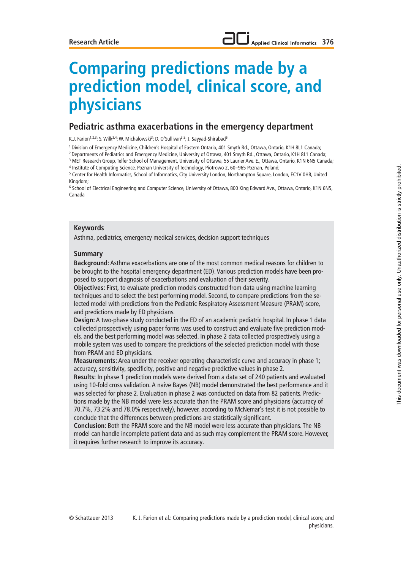# **Applied Clinical Informatics 376**

# **Comparing predictions made by a prediction model, clinical score, and physicians**

# **Pediatric asthma exacerbations in the emergency department**

K.J. Farion<sup>1,2,3</sup>; S. Wilk<sup>3,4</sup>; W. Michalowski<sup>3</sup>; D. O'Sullivan<sup>3,5</sup>; J. Sayyad-Shirabad<sup>6</sup>

1 Division of Emergency Medicine, Children's Hospital of Eastern Ontario, 401 Smyth Rd., Ottawa, Ontario, K1H 8L1 Canada;

2 Departments of Pediatrics and Emergency Medicine, University of Ottawa, 401 Smyth Rd., Ottawa, Ontario, K1H 8L1 Canada;

3 MET Research Group, Telfer School of Management, University of Ottawa, 55 Laurier Ave. E., Ottawa, Ontario, K1N 6N5 Canada;

4 Institute of Computing Science, Poznan University of Technology, Piotrowo 2, 60–965 Poznan, Poland;

<sup>5</sup> Center for Health Informatics, School of Informatics, City University London, Northampton Square, London, EC1V 0HB, United Kingdom;

6 School of Electrical Engineering and Computer Science, University of Ottawa, 800 King Edward Ave., Ottawa, Ontario, K1N 6N5, Canada

#### **Keywords**

Asthma, pediatrics, emergency medical services, decision support techniques

#### **Summary**

**Background:** Asthma exacerbations are one of the most common medical reasons for children to be brought to the hospital emergency department (ED). Various prediction models have been proposed to support diagnosis of exacerbations and evaluation of their severity.

**Objectives:** First, to evaluate prediction models constructed from data using machine learning techniques and to select the best performing model. Second, to compare predictions from the selected model with predictions from the Pediatric Respiratory Assessment Measure (PRAM) score, and predictions made by ED physicians.

**Design:** A two-phase study conducted in the ED of an academic pediatric hospital. In phase 1 data collected prospectively using paper forms was used to construct and evaluate five prediction models, and the best performing model was selected. In phase 2 data collected prospectively using a mobile system was used to compare the predictions of the selected prediction model with those from PRAM and ED physicians.

**Measurements:** Area under the receiver operating characteristic curve and accuracy in phase 1; accuracy, sensitivity, specificity, positive and negative predictive values in phase 2.

**Results:** In phase 1 prediction models were derived from a data set of 240 patients and evaluated using 10-fold cross validation. A naive Bayes (NB) model demonstrated the best performance and it was selected for phase 2. Evaluation in phase 2 was conducted on data from 82 patients. Predictions made by the NB model were less accurate than the PRAM score and physicians (accuracy of 70.7%, 73.2% and 78.0% respectively), however, according to McNemar's test it is not possible to conclude that the differences between predictions are statistically significant.

**Conclusion:** Both the PRAM score and the NB model were less accurate than physicians. The NB model can handle incomplete patient data and as such may complement the PRAM score. However, it requires further research to improve its accuracy.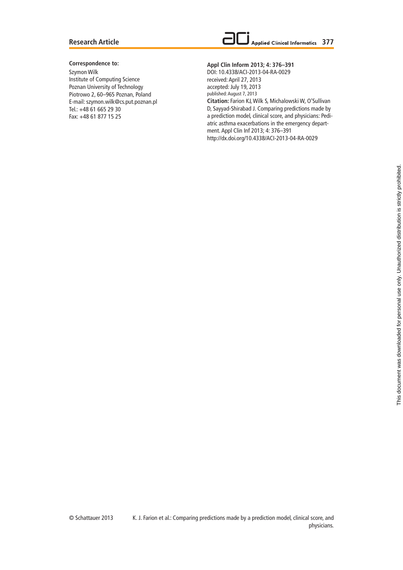#### **Research Article**



#### **Correspondence to:**

Szymon Wilk Institute of Computing Science Poznan University of Technology Piotrowo 2, 60-965 Poznan, Poland E-mail: szymon.wilk@cs.put.poznan.pl Tel.: +48 61 665 29 30 Fax: +48 61 877 15 25

#### **Appl Clin Inform 2013; 4: 376–391**

DOI: 10.4338/ACI-2013-04-RA-0029 received: April 27, 2013 accepted: July 19, 2013 published: August 7, 2013 **Citation:** Farion KJ, Wilk S, Michalowski W, O'Sullivan D, Sayyad-Shirabad J. Comparing predictions made by a prediction model, clinical score, and physicians: Pediatric asthma exacerbations in the emergency department. Appl Clin Inf 2013; 4: 376–391 http://dx.doi.org/10.4338/ACI-2013-04-RA-0029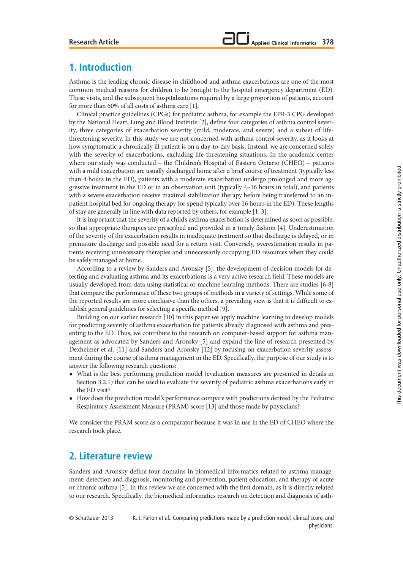# **1. Introduction**

Asthma is the leading chronic disease in childhood and asthma exacerbations are one of the most common medical reasons for children to be brought to the hospital emergency department (ED). These visits, and the subsequent hospitalizations required by a large proportion of patients, account for more than 60% of all costs of asthma care [1].

Clinical practice guidelines (CPGs) for pediatric asthma, for example the EPR-3 CPG developed by the National Heart, Lung and Blood Institute [2], define four categories of asthma control severity, three categories of exacerbation severity (mild, moderate, and severe) and a subset of lifethreatening severity. In this study we are not concerned with asthma control severity, as it looks at how symptomatic a chronically ill patient is on a day-to-day basis. Instead, we are concerned solely with the severity of exacerbations, excluding life-threatening situations. In the academic center where our study was conducted – the Children's Hospital of Eastern Ontario (CHEO) – patients with a mild exacerbation are usually discharged home after a brief course of treatment (typically less than 4 hours in the ED), patients with a moderate exacerbation undergo prolonged and more aggressive treatment in the ED or in an observation unit (typically 4–16 hours in total), and patients with a severe exacerbation receive maximal stabilization therapy before being transferred to an inpatient hospital bed for ongoing therapy (or spend typically over 16 hours in the ED). These lengths of stay are generally in line with data reported by others, for example [1, 3].

It is important that the severity of a child's asthma exacerbation is determined as soon as possible, so that appropriate therapies are prescribed and provided in a timely fashion [4]. Underestimation of the severity of the exacerbation results in inadequate treatment so that discharge is delayed, or in premature discharge and possible need for a return visit. Conversely, overestimation results in patients receiving unnecessary therapies and unnecessarily occupying ED resources when they could be safely managed at home.

According to a review by Sanders and Aronsky [5], the development of decision models for detecting and evaluating asthma and its exacerbations is a very active research field. These models are usually developed from data using statistical or machine learning methods. There are studies [6-8] that compare the performance of these two groups of methods in a variety of settings. While some of the reported results are more conclusive than the others, a prevailing view is that it is difficult to establish general guidelines for selecting a specific method [9].

Building on our earlier research [10] in this paper we apply machine learning to develop models for predicting severity of asthma exacerbation for patients already diagnosed with asthma and presenting to the ED. Thus, we contribute to the research on computer-based support for asthma management as advocated by Sanders and Aronsky [5] and expand the line of research presented by Dexheimer et al. [11] and Sanders and Aronsky [12] by focusing on exacerbation severity assessment during the course of asthma management in the ED. Specifically, the purpose of our study is to answer the following research questions:

- **•** What is the best performing prediction model (evaluation measures are presented in details in Section 3.2.1) that can be used to evaluate the severity of pediatric asthma exacerbations early in the ED visit?
- **•** How does the prediction model's performance compare with predictions derived by the Pediatric Respiratory Assessment Measure (PRAM) score [13] and those made by physicians?

We consider the PRAM score as a comparator because it was in use in the ED of CHEO where the research took place.

# **2. Literature review**

Sanders and Aronsky define four domains in biomedical informatics related to asthma management: detection and diagnosis, monitoring and prevention, patient education, and therapy of acute or chronic asthma [5]. In this review we are concerned with the first domain, as it is directly related to our research. Specifically, the biomedical informatics research on detection and diagnosis of asth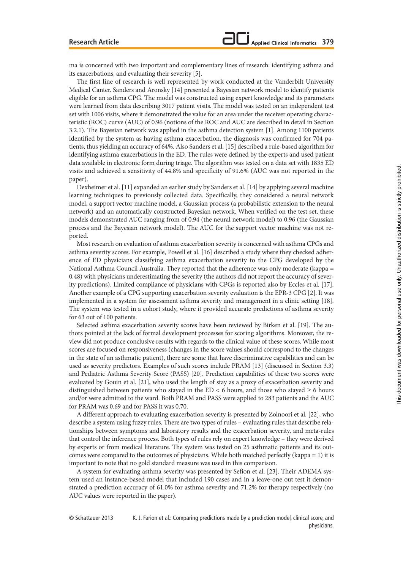ma is concerned with two important and complementary lines of research: identifying asthma and its exacerbations, and evaluating their severity [5].

The first line of research is well represented by work conducted at the Vanderbilt University Medical Canter. Sanders and Aronsky [14] presented a Bayesian network model to identify patients eligible for an asthma CPG. The model was constructed using expert knowledge and its parameters were learned from data describing 3017 patient visits. The model was tested on an independent test set with 1006 visits, where it demonstrated the value for an area under the receiver operating characteristic (ROC) curve (AUC) of 0.96 (notions of the ROC and AUC are described in detail in Section 3.2.1). The Bayesian network was applied in the asthma detection system [1]. Among 1100 patients identified by the system as having asthma exacerbation, the diagnosis was confirmed for 704 patients, thus yielding an accuracy of 64%. Also Sanders et al. [15] described a rule-based algorithm for identifying asthma exacerbations in the ED. The rules were defined by the experts and used patient data available in electronic form during triage. The algorithm was tested on a data set with 1835 ED visits and achieved a sensitivity of 44.8% and specificity of 91.6% (AUC was not reported in the paper).

Dexheimer et al. [11] expanded an earlier study by Sanders et al. [14] by applying several machine learning techniques to previously collected data. Specifically, they considered a neural network model, a support vector machine model, a Gaussian process (a probabilistic extension to the neural network) and an automatically constructed Bayesian network. When verified on the test set, these models demonstrated AUC ranging from of 0.94 (the neural network model) to 0.96 (the Gaussian process and the Bayesian network model). The AUC for the support vector machine was not reported.

Most research on evaluation of asthma exacerbation severity is concerned with asthma CPGs and asthma severity scores. For example, Powell et al. [16] described a study where they checked adherence of ED physicians classifying asthma exacerbation severity to the CPG developed by the National Asthma Council Australia. They reported that the adherence was only moderate (kappa = 0.48) with physicians underestimating the severity (the authors did not report the accuracy of severity predictions). Limited compliance of physicians with CPGs is reported also by Eccles et al. [17]. Another example of a CPG supporting exacerbation severity evaluation is the EPR-3 CPG [2]. It was implemented in a system for assessment asthma severity and management in a clinic setting [18]. The system was tested in a cohort study, where it provided accurate predictions of asthma severity for 63 out of 100 patients.

Selected asthma exacerbation severity scores have been reviewed by Birken et al. [19]. The authors pointed at the lack of formal development processes for scoring algorithms. Moreover, the review did not produce conclusive results with regards to the clinical value of these scores. While most scores are focused on responsiveness (changes in the score values should correspond to the changes in the state of an asthmatic patient), there are some that have discriminative capabilities and can be used as severity predictors. Examples of such scores include PRAM [13] (discussed in Section 3.3) and Pediatric Asthma Severity Score (PASS) [20]. Prediction capabilities of these two scores were evaluated by Gouin et al. [21], who used the length of stay as a proxy of exacerbation severity and distinguished between patients who stayed in the ED < 6 hours, and those who stayed  $\geq 6$  hours and/or were admitted to the ward. Both PRAM and PASS were applied to 283 patients and the AUC for PRAM was 0.69 and for PASS it was 0.70.

A different approach to evaluating exacerbation severity is presented by Zolnoori et al. [22], who describe a system using fuzzy rules. There are two types of rules – evaluating rules that describe relationships between symptoms and laboratory results and the exacerbation severity, and meta-rules that control the inference process. Both types of rules rely on expert knowledge – they were derived by experts or from medical literature. The system was tested on 25 asthmatic patients and its outcomes were compared to the outcomes of physicians. While both matched perfectly (kappa = 1) it is important to note that no gold standard measure was used in this comparison.

A system for evaluating asthma severity was presented by Sefion et al. [23]. Their ADEMA system used an instance-based model that included 190 cases and in a leave-one out test it demonstrated a prediction accuracy of 61.0% for asthma severity and 71.2% for therapy respectively (no AUC values were reported in the paper).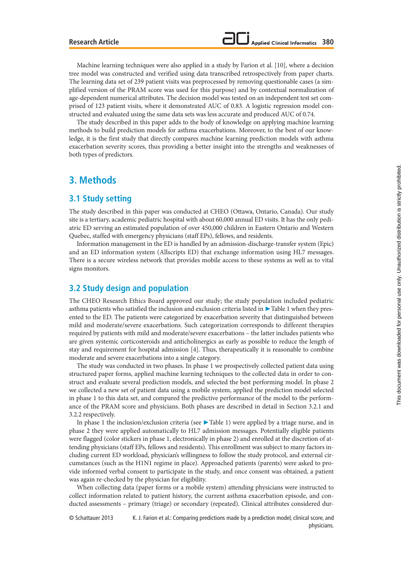Machine learning techniques were also applied in a study by Farion et al. [10], where a decision tree model was constructed and verified using data transcribed retrospectively from paper charts. The learning data set of 239 patient visits was preprocessed by removing questionable cases (a simplified version of the PRAM score was used for this purpose) and by contextual normalization of age-dependent numerical attributes. The decision model was tested on an independent test set comprised of 123 patient visits, where it demonstrated AUC of 0.83. A logistic regression model constructed and evaluated using the same data sets was less accurate and produced AUC of 0.74.

The study described in this paper adds to the body of knowledge on applying machine learning methods to build prediction models for asthma exacerbations. Moreover, to the best of our knowledge, it is the first study that directly compares machine learning prediction models with asthma exacerbation severity scores, thus providing a better insight into the strengths and weaknesses of both types of predictors.

# **3. Methods**

## **3.1 Study setting**

The study described in this paper was conducted at CHEO (Ottawa, Ontario, Canada). Our study site is a tertiary, academic pediatric hospital with about 60,000 annual ED visits. It has the only pediatric ED serving an estimated population of over 450,000 children in Eastern Ontario and Western Quebec, staffed with emergency physicians (staff EPs), fellows, and residents.

Information management in the ED is handled by an admission-discharge-transfer system (Epic) and an ED information system (Allscripts ED) that exchange information using HL7 messages. There is a secure wireless network that provides mobile access to these systems as well as to vital signs monitors.

# **3.2 Study design and population**

The CHEO Research Ethics Board approved our study; the study population included pediatric asthma patients who satisfied the inclusion and exclusion criteria listed in ▶ Table 1 when they presented to the ED. The patients were categorized by exacerbation severity that distinguished between mild and moderate/severe exacerbations. Such categorization corresponds to different therapies required by patients with mild and moderate/severe exacerbations – the latter includes patients who are given systemic corticosteroids and anticholinergics as early as possible to reduce the length of stay and requirement for hospital admission [4]. Thus, therapeutically it is reasonable to combine moderate and severe exacerbations into a single category.

The study was conducted in two phases. In phase 1 we prospectively collected patient data using structured paper forms, applied machine learning techniques to the collected data in order to construct and evaluate several prediction models, and selected the best performing model. In phase 2 we collected a new set of patient data using a mobile system, applied the prediction model selected in phase 1 to this data set, and compared the predictive performance of the model to the performance of the PRAM score and physicians. Both phases are described in detail in Section 3.2.1 and 3.2.2 respectively.

In phase 1 the inclusion/exclusion criteria (see ▶ Table 1) were applied by a triage nurse, and in phase 2 they were applied automatically to HL7 admission messages. Potentially eligible patients were flagged (color stickers in phase 1, electronically in phase 2) and enrolled at the discretion of attending physicians (staff EPs, fellows and residents). This enrollment was subject to many factors including current ED workload, physician's willingness to follow the study protocol, and external circumstances (such as the H1N1 regime in place). Approached patients (parents) were asked to provide informed verbal consent to participate in the study, and once consent was obtained, a patient was again re-checked by the physician for eligibility.

When collecting data (paper forms or a mobile system) attending physicians were instructed to collect information related to patient history, the current asthma exacerbation episode, and conducted assessments – primary (triage) or secondary (repeated). Clinical attributes considered dur-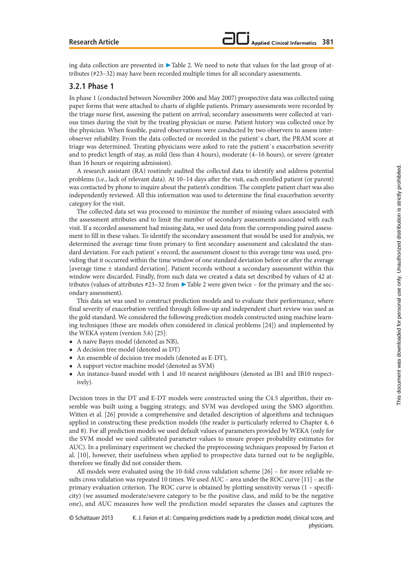ing data collection are presented in ▶ Table 2. We need to note that values for the last group of attributes (#23–32) may have been recorded multiple times for all secondary assessments.

#### **3.2.1 Phase 1**

In phase 1 (conducted between November 2006 and May 2007) prospective data was collected using paper forms that were attached to charts of eligible patients. Primary assessments were recorded by the triage nurse first, assessing the patient on arrival; secondary assessments were collected at various times during the visit by the treating physician or nurse. Patient history was collected once by the physician. When feasible, paired observations were conducted by two observers to assess interobserver reliability. From the data collected or recorded in the patient`s chart, the PRAM score at triage was determined. Treating physicians were asked to rate the patient`s exacerbation severity and to predict length of stay, as mild (less than 4 hours), moderate (4–16 hours), or severe (greater than 16 hours or requiring admission).

A research assistant (RA) routinely audited the collected data to identify and address potential problems (i.e., lack of relevant data). At 10–14 days after the visit, each enrolled patient (or parent) was contacted by phone to inquire about the patient's condition. The complete patient chart was also independently reviewed. All this information was used to determine the final exacerbation severity category for the visit.

The collected data set was processed to minimize the number of missing values associated with the assessment attributes and to limit the number of secondary assessments associated with each visit. If a recorded assessment had missing data, we used data from the corresponding paired assessment to fill in these values. To identify the secondary assessment that would be used for analysis, we determined the average time from primary to first secondary assessment and calculated the standard deviation. For each patient`s record, the assessment closest to this average time was used, providing that it occurred within the time window of one standard deviation before or after the average [average time ± standard deviation]. Patient records without a secondary assessment within this window were discarded. Finally, from such data we created a data set described by values of 42 attributes (values of attributes #23–32 from ▶ Table 2 were given twice – for the primary and the secondary assessment).

This data set was used to construct prediction models and to evaluate their performance, where final severity of exacerbation verified through follow-up and independent chart review was used as the gold standard. We considered the following prediction models constructed using machine learning techniques (these are models often considered in clinical problems [24]) and implemented by the WEKA system (version 3.6) [25]:

- **•** A naive Bayes model (denoted as NB),
- **•** A decision tree model (denoted as DT)
- **•** An ensemble of decision tree models (denoted as E-DT),
- **•** A support vector machine model (denoted as SVM)
- **•** An instance-based model with 1 and 10 nearest neighbours (denoted as IB1 and IB10 respectively).

Decision trees in the DT and E-DT models were constructed using the C4.5 algorithm, their ensemble was built using a bagging strategy, and SVM was developed using the SMO algorithm. Witten et al. [26] provide a comprehensive and detailed description of algorithms and techniques applied in constructing these prediction models (the reader is particularly referred to Chapter 4, 6 and 8). For all prediction models we used default values of parameters provided by WEKA (only for the SVM model we used calibrated parameter values to ensure proper probability estimates for AUC). In a preliminary experiment we checked the preprocessing techniques proposed by Farion et al. [10], however, their usefulness when applied to prospective data turned out to be negligible, therefore we finally did not consider them.

All models were evaluated using the 10-fold cross validation scheme [26] – for more reliable results cross validation was repeated 10 times. We used AUC – area under the ROC curve [11] – as the primary evaluation criterion. The ROC curve is obtained by plotting sensitivity versus (1 – specificity) (we assumed moderate/severe category to be the positive class, and mild to be the negative one), and AUC measures how well the prediction model separates the classes and captures the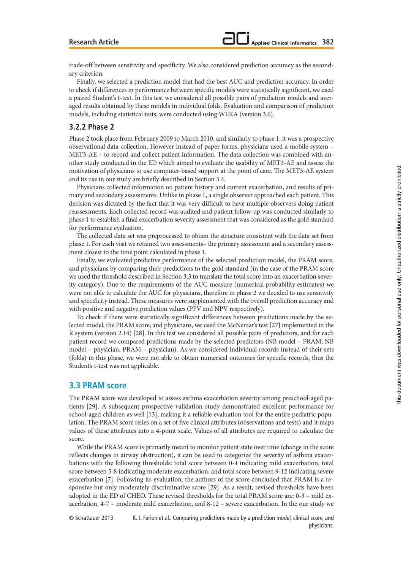trade-off between sensitivity and specificity. We also considered prediction accuracy as the secondary criterion.

Finally, we selected a prediction model that had the best AUC and prediction accuracy. In order to check if differences in performance between specific models were statistically significant, we used a paired Student's t-test. In this test we considered all possible pairs of prediction models and averaged results obtained by these models in individual folds. Evaluation and comparison of prediction models, including statistical tests, were conducted using WEKA (version 3.6).

#### **3.2.2 Phase 2**

Phase 2 took place from February 2009 to March 2010, and similarly to phase 1, it was a prospective observational data collection. However instead of paper forms, physicians used a mobile system – MET3-AE – to record and collect patient information. The data collection was combined with another study conducted in the ED which aimed to evaluate the usability of MET3-AE and assess the motivation of physicians to use computer-based support at the point of care. The MET3-AE system and its use in our study are briefly described in Section 3.4.

Physicians collected information on patient history and current exacerbation, and results of primary and secondary assessments. Unlike in phase 1, a single observer approached each patient. This decision was dictated by the fact that it was very difficult to have multiple observers doing patient reassessments. Each collected record was audited and patient follow-up was conducted similarly to phase 1 to establish a final exacerbation severity assessment that was considered as the gold standard for performance evaluation.

The collected data set was preprocessed to obtain the structure consistent with the data set from phase 1. For each visit we retained two assessments– the primary assessment and a secondary assessment closest to the time point calculated in phase 1.

Finally, we evaluated predictive performance of the selected prediction model, the PRAM score, and physicians by comparing their predictions to the gold standard (in the case of the PRAM score we used the threshold described in Section 3.3 to translate the total score into an exacerbation severity category). Due to the requirements of the AUC measure (numerical probability estimates) we were not able to calculate the AUC for physicians, therefore in phase 2 we decided to use sensitivity and specificity instead. These measures were supplemented with the overall prediction accuracy and with positive and negative prediction values (PPV and NPV respectively).

To check if there were statistically significant differences between predictions made by the selected model, the PRAM score, and physicians, we used the McNemar's test [27] implemented in the R system (version 2.14) [28]. In this test we considered all possible pairs of predictors, and for each patient record we compared predictions made by the selected predictors (NB model – PRAM, NB model – physician, PRAM – physician). As we considered individual records instead of their sets (folds) in this phase, we were not able to obtain numerical outcomes for specific records, thus the Student's t-test was not applicable.

#### **3.3 PRAM score**

The PRAM score was developed to assess asthma exacerbation severity among preschool-aged patients [29]. A subsequent prospective validation study demonstrated excellent performance for school-aged children as well [13], making it a reliable evaluation tool for the entire pediatric population. The PRAM score relies on a set of five clinical attributes (observations and tests) and it maps values of these attributes into a 4-point scale. Values of all attributes are required to calculate the score.

While the PRAM score is primarily meant to monitor patient state over time (change in the score reflects changes in airway obstruction), it can be used to categorize the severity of asthma exacerbations with the following thresholds: total score between 0-4 indicating mild exacerbation, total score between 5-8 indicating moderate exacerbation, and total score between 9-12 indicating severe exacerbation [7]. Following its evaluation, the authors of the score concluded that PRAM is a responsive but only moderately discriminative score [29]. As a result, revised thresholds have been adopted in the ED of CHEO. These revised thresholds for the total PRAM score are: 0-3 – mild exacerbation, 4-7 – moderate mild exacerbation, and 8-12 – severe exacerbation. In the our study we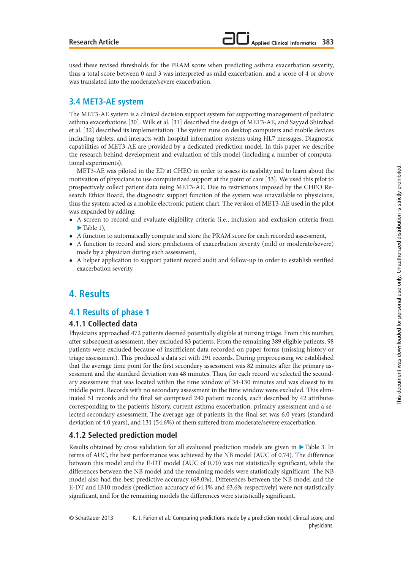used these revised thresholds for the PRAM score when predicting asthma exacerbation severity, thus a total score between 0 and 3 was interpreted as mild exacerbation, and a score of 4 or above was translated into the moderate/severe exacerbation.

## **3.4 MET3-AE system**

The MET3-AE system is a clinical decision support system for supporting management of pediatric asthma exacerbations [30]. Wilk et al. [31] described the design of MET3-AE, and Sayyad Shirabad et al. [32] described its implementation. The system runs on desktop computers and mobile devices including tablets, and interacts with hospital information systems using HL7 messages. Diagnostic capabilities of MET3-AE are provided by a dedicated prediction model. In this paper we describe the research behind development and evaluation of this model (including a number of computational experiments).

MET3-AE was piloted in the ED at CHEO in order to assess its usability and to learn about the motivation of physicians to use computerized support at the point of care [33]. We used this pilot to prospectively collect patient data using MET3-AE. Due to restrictions imposed by the CHEO Research Ethics Board, the diagnostic support function of the system was unavailable to physicians, thus the system acted as a mobile electronic patient chart. The version of MET3-AE used in the pilot was expanded by adding:

- **•** A screen to record and evaluate eligibility criteria (i.e., inclusion and exclusion criteria from  $\blacktriangleright$  Table 1),
- **•** A function to automatically compute and store the PRAM score for each recorded assessment,
- **•** A function to record and store predictions of exacerbation severity (mild or moderate/severe) made by a physician during each assessment,
- **•** A helper application to support patient record audit and follow-up in order to establish verified exacerbation severity.

# **4. Results**

## **4.1 Results of phase 1**

#### **4.1.1 Collected data**

Physicians approached 472 patients deemed potentially eligible at nursing triage. From this number, after subsequent assessment, they excluded 83 patients. From the remaining 389 eligible patients, 98 patients were excluded because of insufficient data recorded on paper forms (missing history or triage assessment). This produced a data set with 291 records. During preprocessing we established that the average time point for the first secondary assessment was 82 minutes after the primary assessment and the standard deviation was 48 minutes. Thus, for each record we selected the secondary assessment that was located within the time window of 34-130 minutes and was closest to its middle point. Records with no secondary assessment in the time window were excluded. This eliminated 51 records and the final set comprised 240 patient records, each described by 42 attributes corresponding to the patient's history, current asthma exacerbation, primary assessment and a selected secondary assessment. The average age of patients in the final set was 6.0 years (standard deviation of 4.0 years), and 131 (54.6%) of them suffered from moderate/severe exacerbation.

#### **4.1.2 Selected prediction model**

Results obtained by cross validation for all evaluated prediction models are given in ▶ Table 3. In terms of AUC, the best performance was achieved by the NB model (AUC of 0.74). The difference between this model and the E-DT model (AUC of 0.70) was not statistically significant, while the differences between the NB model and the remaining models were statistically significant. The NB model also had the best predictive accuracy (68.0%). Differences between the NB model and the E-DT and IB10 models (prediction accuracy of 64.1% and 63.6% respectively) were not statistically significant, and for the remaining models the differences were statistically significant.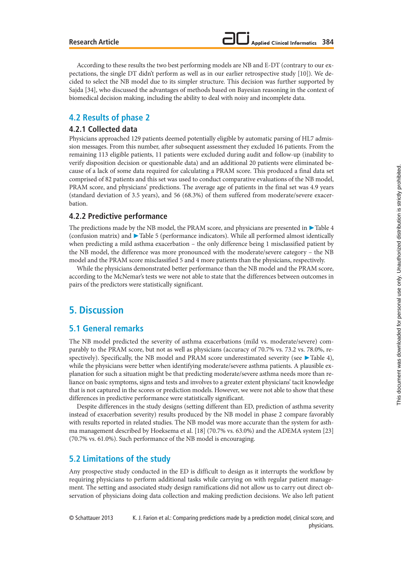According to these results the two best performing models are NB and E-DT (contrary to our expectations, the single DT didn't perform as well as in our earlier retrospective study [10]). We decided to select the NB model due to its simpler structure. This decision was further supported by Sajda [34], who discussed the advantages of methods based on Bayesian reasoning in the context of biomedical decision making, including the ability to deal with noisy and incomplete data.

# **4.2 Results of phase 2**

#### **4.2.1 Collected data**

Physicians approached 129 patients deemed potentially eligible by automatic parsing of HL7 admission messages. From this number, after subsequent assessment they excluded 16 patients. From the remaining 113 eligible patients, 11 patients were excluded during audit and follow-up (inability to verify disposition decision or questionable data) and an additional 20 patients were eliminated because of a lack of some data required for calculating a PRAM score. This produced a final data set comprised of 82 patients and this set was used to conduct comparative evaluations of the NB model, PRAM score, and physicians' predictions. The average age of patients in the final set was 4.9 years (standard deviation of 3.5 years), and 56 (68.3%) of them suffered from moderate/severe exacerbation.

#### **4.2.2 Predictive performance**

The predictions made by the NB model, the PRAM score, and physicians are presented in  $\blacktriangleright$  Table 4 (confusion matrix) and  $\blacktriangleright$  Table 5 (performance indicators). While all performed almost identically when predicting a mild asthma exacerbation – the only difference being 1 misclassified patient by the NB model, the difference was more pronounced with the moderate/severe category – the NB model and the PRAM score misclassified 5 and 4 more patients than the physicians, respectively.

While the physicians demonstrated better performance than the NB model and the PRAM score, according to the McNemar's tests we were not able to state that the differences between outcomes in pairs of the predictors were statistically significant.

# **5. Discussion**

## **5.1 General remarks**

The NB model predicted the severity of asthma exacerbations (mild vs. moderate/severe) comparably to the PRAM score, but not as well as physicians (accuracy of 70.7% vs. 73.2 vs. 78.0%, respectively). Specifically, the NB model and PRAM score underestimated severity (see > Table 4), while the physicians were better when identifying moderate/severe asthma patients. A plausible explanation for such a situation might be that predicting moderate/severe asthma needs more than reliance on basic symptoms, signs and tests and involves to a greater extent physicians' tacit knowledge that is not captured in the scores or prediction models. However, we were not able to show that these differences in predictive performance were statistically significant.

Despite differences in the study designs (setting different than ED, prediction of asthma severity instead of exacerbation severity) results produced by the NB model in phase 2 compare favorably with results reported in related studies. The NB model was more accurate than the system for asthma management described by Hoeksema et al. [18] (70.7% vs. 63.0%) and the ADEMA system [23] (70.7% vs. 61.0%). Such performance of the NB model is encouraging.

# **5.2 Limitations of the study**

Any prospective study conducted in the ED is difficult to design as it interrupts the workflow by requiring physicians to perform additional tasks while carrying on with regular patient management. The setting and associated study design ramifications did not allow us to carry out direct observation of physicians doing data collection and making prediction decisions. We also left patient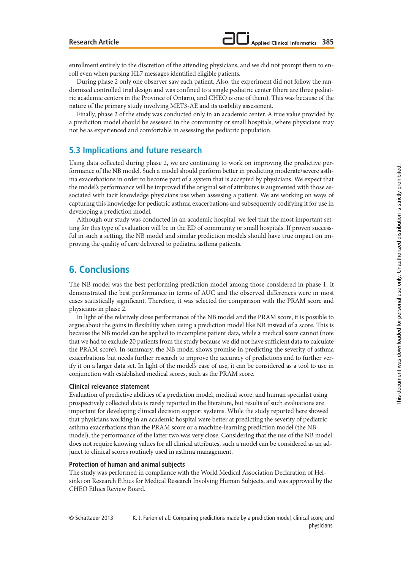enrollment entirely to the discretion of the attending physicians, and we did not prompt them to enroll even when parsing HL7 messages identified eligible patients.

During phase 2 only one observer saw each patient. Also, the experiment did not follow the randomized controlled trial design and was confined to a single pediatric center (there are three pediatric academic centers in the Province of Ontario, and CHEO is one of them). This was because of the nature of the primary study involving MET3-AE and its usability assessment.

Finally, phase 2 of the study was conducted only in an academic center. A true value provided by a prediction model should be assessed in the community or small hospitals, where physicians may not be as experienced and comfortable in assessing the pediatric population.

## **5.3 Implications and future research**

Using data collected during phase 2, we are continuing to work on improving the predictive performance of the NB model. Such a model should perform better in predicting moderate/severe asthma exacerbations in order to become part of a system that is accepted by physicians. We expect that the model's performance will be improved if the original set of attributes is augmented with those associated with tacit knowledge physicians use when assessing a patient. We are working on ways of capturing this knowledge for pediatric asthma exacerbations and subsequently codifying it for use in developing a prediction model.

Although our study was conducted in an academic hospital, we feel that the most important setting for this type of evaluation will be in the ED of community or small hospitals. If proven successful in such a setting, the NB model and similar prediction models should have true impact on improving the quality of care delivered to pediatric asthma patients.

# **6. Conclusions**

The NB model was the best performing prediction model among those considered in phase 1. It demonstrated the best performance in terms of AUC and the observed differences were in most cases statistically significant. Therefore, it was selected for comparison with the PRAM score and physicians in phase 2.

In light of the relatively close performance of the NB model and the PRAM score, it is possible to argue about the gains in flexibility when using a prediction model like NB instead of a score. This is because the NB model can be applied to incomplete patient data, while a medical score cannot (note that we had to exclude 20 patients from the study because we did not have sufficient data to calculate the PRAM score). In summary, the NB model shows promise in predicting the severity of asthma exacerbations but needs further research to improve the accuracy of predictions and to further verify it on a larger data set. In light of the model's ease of use, it can be considered as a tool to use in conjunction with established medical scores, such as the PRAM score.

#### **Clinical relevance statement**

Evaluation of predictive abilities of a prediction model, medical score, and human specialist using prospectively collected data is rarely reported in the literature, but results of such evaluations are important for developing clinical decision support systems. While the study reported here showed that physicians working in an academic hospital were better at predicting the severity of pediatric asthma exacerbations than the PRAM score or a machine-learning prediction model (the NB model), the performance of the latter two was very close. Considering that the use of the NB model does not require knowing values for all clinical attributes, such a model can be considered as an adjunct to clinical scores routinely used in asthma management.

#### **Protection of human and animal subjects**

The study was performed in compliance with the World Medical Association Declaration of Helsinki on Research Ethics for Medical Research Involving Human Subjects, and was approved by the CHEO Ethics Review Board.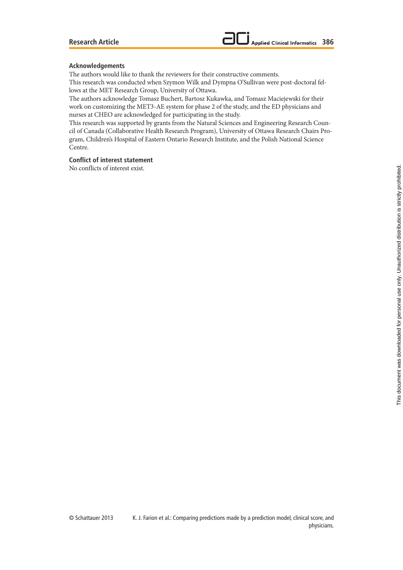#### **Acknowledgements**

The authors would like to thank the reviewers for their constructive comments. This research was conducted when Szymon Wilk and Dympna O'Sullivan were post-doctoral fel-

lows at the MET Research Group, University of Ottawa.

The authors acknowledge Tomasz Buchert, Bartosz Kukawka, and Tomasz Maciejewski for their work on customizing the MET3-AE system for phase 2 of the study, and the ED physicians and nurses at CHEO are acknowledged for participating in the study.

This research was supported by grants from the Natural Sciences and Engineering Research Council of Canada (Collaborative Health Research Program), University of Ottawa Research Chairs Program, Children's Hospital of Eastern Ontario Research Institute, and the Polish National Science Centre.

#### **Conflict of interest statement**

No conflicts of interest exist.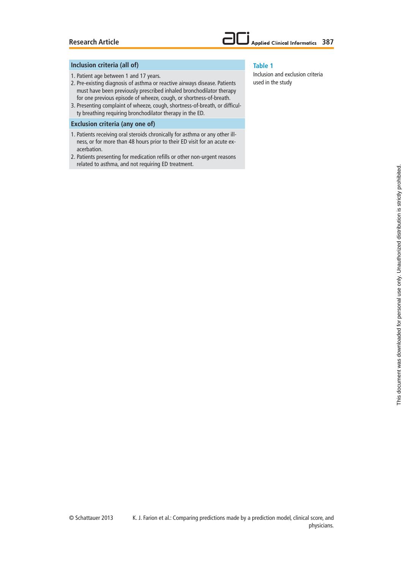#### **Inclusion criteria (all of)**

- 1. Patient age between 1 and 17 years.
- 2. Pre-existing diagnosis of asthma or reactive airways disease. Patients must have been previously prescribed inhaled bronchodilator therapy for one previous episode of wheeze, cough, or shortness-of-breath.
- 3. Presenting complaint of wheeze, cough, shortness-of-breath, or difficulty breathing requiring bronchodilator therapy in the ED.

#### **Exclusion criteria (any one of)**

- 1. Patients receiving oral steroids chronically for asthma or any other illness, or for more than 48 hours prior to their ED visit for an acute exacerbation.
- 2. Patients presenting for medication refills or other non-urgent reasons related to asthma, and not requiring ED treatment.

#### **Table 1**

Inclusion and exclusion criteria used in the study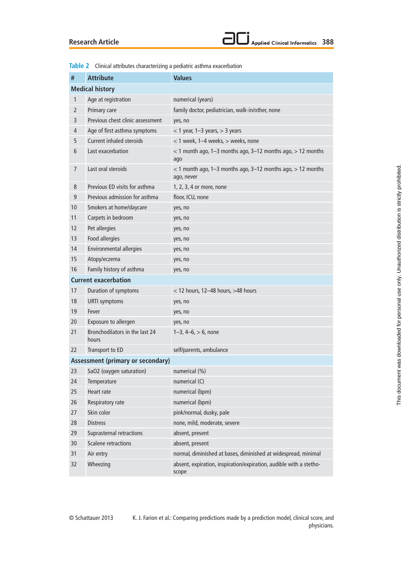

|                | <b>Table 2</b> Clinical attributes characterizing a pediatric asthma exacerbation |                                                                               |
|----------------|-----------------------------------------------------------------------------------|-------------------------------------------------------------------------------|
| $\#$           | <b>Attribute</b>                                                                  | <b>Values</b>                                                                 |
|                | <b>Medical history</b>                                                            |                                                                               |
| 1              | Age at registration                                                               | numerical (years)                                                             |
| $\overline{2}$ | Primary care                                                                      | family doctor, pediatrician, walk-in/other, none                              |
| 3              | Previous chest clinic assessment                                                  | yes, no                                                                       |
| 4              | Age of first asthma symptoms                                                      | $<$ 1 year, 1-3 years, $>$ 3 years                                            |
| 5              | Current inhaled steroids                                                          | < 1 week, 1-4 weeks, > weeks, none                                            |
| 6              | Last exacerbation                                                                 | $<$ 1 month ago, 1–3 months ago, 3–12 months ago, $>$ 12 months<br>ago        |
| $\overline{7}$ | Last oral steroids                                                                | $<$ 1 month ago, 1–3 months ago, 3–12 months ago, $>$ 12 months<br>ago, never |
| 8              | Previous ED visits for asthma                                                     | 1, 2, 3, 4 or more, none                                                      |
| 9              | Previous admission for asthma                                                     | floor, ICU, none                                                              |
| 10             | Smokers at home/daycare                                                           | yes, no                                                                       |
| 11             | Carpets in bedroom                                                                | yes, no                                                                       |
| 12             | Pet allergies                                                                     | yes, no                                                                       |
| 13             | Food allergies                                                                    | yes, no                                                                       |
| 14             | Environmental allergies                                                           | yes, no                                                                       |
| 15             | Atopy/eczema                                                                      | yes, no                                                                       |
| 16             | Family history of asthma                                                          | yes, no                                                                       |
|                | <b>Current exacerbation</b>                                                       |                                                                               |
| 17             | Duration of symptoms                                                              | < 12 hours, 12-48 hours, >48 hours                                            |
| 18             | <b>URTI symptoms</b>                                                              | yes, no                                                                       |
| 19             | Fever                                                                             | yes, no                                                                       |
| 20             | Exposure to allergen                                                              | yes, no                                                                       |
| 21             | Bronchodilators in the last 24<br>hours                                           | $1-3$ , $4-6$ , $> 6$ , none                                                  |
| 22             | Transport to ED                                                                   | self/parents, ambulance                                                       |
|                | <b>Assessment (primary or secondary)</b>                                          |                                                                               |
| 23             | SaO2 (oxygen saturation)                                                          | numerical (%)                                                                 |
| 24             | Temperature                                                                       | numerical (C)                                                                 |
| 25             | Heart rate                                                                        | numerical (bpm)                                                               |
| 26             | Respiratory rate                                                                  | numerical (bpm)                                                               |
| 27             | Skin color                                                                        | pink/normal, dusky, pale                                                      |
| 28             | <b>Distress</b>                                                                   | none, mild, moderate, severe                                                  |
| 29             | Suprasternal retractions                                                          | absent, present                                                               |
| 30             | <b>Scalene retractions</b>                                                        | absent, present                                                               |
| 31             | Air entry                                                                         | normal, diminished at bases, diminished at widespread, minimal                |
| 32             | Wheezing                                                                          | absent, expiration, inspiration/expiration, audible with a stetho-<br>scope   |

**Table 2** Clinical attributes characterizing a pediatric asthma exacerbation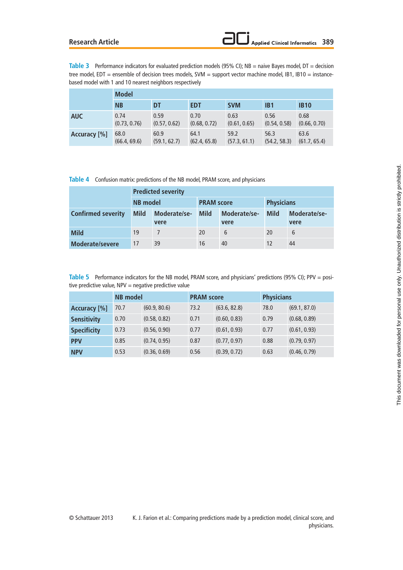#### **Research Article**

Table 3 Performance indicators for evaluated prediction models (95% CI); NB = naive Bayes model, DT = decision tree model, EDT = ensemble of decision trees models, SVM = support vector machine model, IB1, IB10 = instancebased model with 1 and 10 nearest neighbors respectively

|              | <b>Model</b> |              |              |              |              |              |  |  |
|--------------|--------------|--------------|--------------|--------------|--------------|--------------|--|--|
|              | <b>NB</b>    | DT           | <b>EDT</b>   | <b>SVM</b>   | IB1          | <b>IB10</b>  |  |  |
| <b>AUC</b>   | 0.74         | 0.59         | 0.70         | 0.63         | 0.56         | 0.68         |  |  |
|              | (0.73, 0.76) | (0.57, 0.62) | (0.68, 0.72) | (0.61, 0.65) | (0.54, 0.58) | (0.66, 0.70) |  |  |
| Accuracy [%] | 68.0         | 60.9         | 64.1         | 59.2         | 56.3         | 63.6         |  |  |
|              | (66.4, 69.6) | (59.1, 62.7) | (62.4, 65.8) | (57.3, 61.1) | (54.2, 58.3) | (61.7, 65.4) |  |  |

**Table 4** Confusion matrix: predictions of the NB model, PRAM score, and physicians

|                           | <b>Predicted severity</b> |                      |                   |                      |                   |                      |
|---------------------------|---------------------------|----------------------|-------------------|----------------------|-------------------|----------------------|
|                           | NB model                  |                      | <b>PRAM score</b> |                      | <b>Physicians</b> |                      |
| <b>Confirmed severity</b> | <b>Mild</b>               | Moderate/se-<br>vere | <b>Mild</b>       | Moderate/se-<br>vere | <b>Mild</b>       | Moderate/se-<br>vere |
| <b>Mild</b>               | 19                        |                      | 20                | 6                    | 20                | 6                    |
| Moderate/severe           | 17                        | 39                   | 16                | 40                   |                   | 44                   |

**Table 5** Performance indicators for the NB model, PRAM score, and physicians' predictions (95% CI); PPV = positive predictive value,  $NPV =$  negative predictive value

|                    | <b>NB</b> model |              | <b>PRAM score</b> |              | <b>Physicians</b> |              |
|--------------------|-----------------|--------------|-------------------|--------------|-------------------|--------------|
| Accuracy [%]       | 70.7            | (60.9, 80.6) | 73.2              | (63.6, 82.8) | 78.0              | (69.1, 87.0) |
| <b>Sensitivity</b> | 0.70            | (0.58, 0.82) | 0.71              | (0.60, 0.83) | 0.79              | (0.68, 0.89) |
| <b>Specificity</b> | 0.73            | (0.56, 0.90) | 0.77              | (0.61, 0.93) | 0.77              | (0.61, 0.93) |
| <b>PPV</b>         | 0.85            | (0.74, 0.95) | 0.87              | (0.77, 0.97) | 0.88              | (0.79, 0.97) |
| <b>NPV</b>         | 0.53            | (0.36, 0.69) | 0.56              | (0.39, 0.72) | 0.63              | (0.46, 0.79) |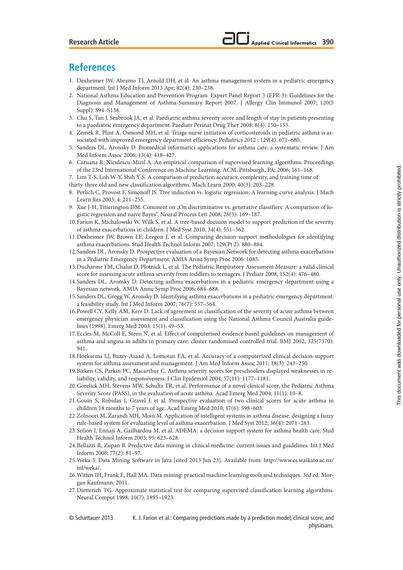# **References**

- 1. Dexheimer JW, Abramo TJ, Arnold DH, et al. An asthma management system in a pediatric emergency department. Int J Med Inform 2013 Apr; 82(4): 230–238.
- 2. National Asthma Education and Prevention Program. Expert Panel Report 3 (EPR-3): Guidelines for the Diagnosis and Management of Asthma-Summary Report 2007. J Allergy Clin Immunol 2007; 120(5 Suppl): S94–S138.
- 3. Chu S, Tan J, Seabrook JA, et al. Paediatric asthma severity score and length of stay in patients presenting to a paediatric emergency department. Paediatr Perinat Drug Ther 2008; 8(4): 150–153.
- 4. Zemek R, Plint A, Osmond MH, et al. Triage nurse initiation of corticosteroids in pediatric asthma is associated with improved emergency department efficiency. Pediatrics 2012 ; 129(4): 671–680.
- 5. Sanders DL, Aronsky D. Biomedical informatics applications for asthma care: a systematic review. J Am Med Inform Assoc 2006; 13(4): 418–427.
- 6. Caruana R, Niculescu-Mizil A. An empirical comparison of supervised learning algorithms. Proceedings of the 23rd International Conference on Machine Learning. ACM, Pittsburgh, PA; 2006; 161–168.

7. Lim T-S, Loh W-Y, Shih Y-S. A comparison of prediction accuracy, complexity, and training time of

- thirty-three old and new classification algorithms. Mach Learn 2000; 40(3): 203–228.
- 8. Perlich C, Provost F, Simonoff JS. Tree induction vs. logistic regression: A learning-curve analysis. J Mach Learn Res 2003; 4: 211–255.
- 9. Xue J-H, Titterington DM. Comment on "On discriminative vs. generative classifiers: A comparison of logistic regression and naive Bayes". Neural Process Lett 2008; 28(3): 169–187.
- 10. Farion K, Michalowski W, Wilk S, et al. A tree-based decision model to support prediction of the severity of asthma exacerbations in children. J Med Syst 2010; 34(4): 551–562.
- 11. Dexheimer JW, Brown LE, Leegon J, et al. Comparing decision support methodologies for identifying asthma exacerbations. Stud Health Technol Inform 2007; 129(Pt 2): 880–884.
- 12. Sanders DL, Aronsky D. Prospective evaluation of a Bayesian Network for detecting asthma exacerbations in a Pediatric Emergency Department. AMIA Annu Symp Proc 2006: 1085.
- 13. Ducharme FM, Chalut D, Plotnick L, et al. The Pediatric Respiratory Assessment Measure: a valid clinical score for assessing acute asthma severity from toddlers to teenagers. J Pediatr 2008; 152(4): 476–480.
- 14. Sanders DL, Aronsky D. Detecting asthma exacerbations in a pediatric emergency department using a Bayesian network. AMIA Annu Symp Proc 2006: 684–688.
- 15. Sanders DL, Gregg W, Aronsky D. Identifying asthma exacerbations in a pediatric emergency department: a feasibility study. Int J Med Inform 2007; 76(7): 557–564.
- 16. Powell CV, Kelly AM, Kerr D. Lack of agreement in classification of the severity of acute asthma between emergency physician assessment and classification using the National Asthma Council Australia guidelines (1998). Emerg Med 2003; 15(1): 49–53.
- 17. Eccles M, McColl E, Steen N, et al. Effect of computerised evidence based guidelines on management of asthma and angina in adults in primary care: cluster randomised controlled trial. BMJ 2002; 325(7370): 941.
- 18. Hoeksema LJ, Bazzy-Asaad A, Lomotan EA, et al. Accuracy of a computerized clinical decision-support system for asthma assessment and management. J Am Med Inform Assoc 2011; 18(3): 243–250.
- 19. Birken CS, Parkin PC, Macarthur C. Asthma severity scores for preschoolers displayed weaknesses in reliability, validity, and responsiveness. J Clin Epidemiol 2004; 57(11): 1177–1181.
- 20. Gorelick MH, Stevens MW, Schultz TR, et al. Performance of a novel clinical score, the Pediatric Asthma Severity Score (PASS), in the evaluation of acute asthma. Acad Emerg Med 2004; 11(1): 10–8.
- 21. Gouin S, Robidas I, Gravel J, et al. Prospective evaluation of two clinical scores for acute asthma in children 18 months to 7 years of age. Acad Emerg Med 2010; 17(6): 598–603.
- 22. Zolnoori M, Zarandi MH, Moin M. Application of intelligent systems in asthma disease: designing a fuzzy rule-based system for evaluating level of asthma exacerbation. J Med Syst 2012; 36(4): 2071–283.
- 23. Sefion I, Ennaji A, Gailhardou M, et al. ADEMA: a decision support system for asthma health care. Stud Health Technol Inform 2003; 95: 623–628.
- 24. Bellazzi R, Zupan B. Predictive data mining in clinical medicine: current issues and guidelines. Int J Med Inform 2008; 77(2): 81–97.
- 25. Weka 3: Data Mining Software in Java [cited 2013 Jun 23]. Available from: http://www.cs.waikato.ac.nz/ ml/weka/.
- 26. Witten IH, Frank E, Hall MA. Data mining: practical machine learning tools and techniques. 3rd ed. Morgan Kaufmann; 2011.
- 27. Dietterich TG. Approximate statistical test for comparing supervised classification learning algorithms. Neural Comput 1998; 10(7): 1895–1923.

© Schattauer 2013